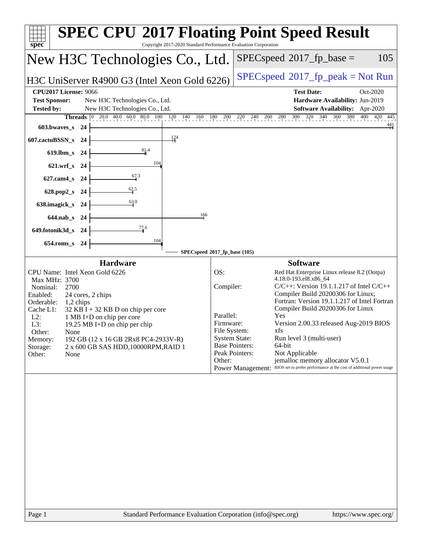| Copyright 2017-2020 Standard Performance Evaluation Corporation<br>spec <sup>®</sup>                                                                                                                                                                                                                                                                                                                                              | <b>SPEC CPU®2017 Floating Point Speed Result</b>                                                                                                                                                                                                                                                                                                                                                                                                                                                                                                                                                                                                              |
|-----------------------------------------------------------------------------------------------------------------------------------------------------------------------------------------------------------------------------------------------------------------------------------------------------------------------------------------------------------------------------------------------------------------------------------|---------------------------------------------------------------------------------------------------------------------------------------------------------------------------------------------------------------------------------------------------------------------------------------------------------------------------------------------------------------------------------------------------------------------------------------------------------------------------------------------------------------------------------------------------------------------------------------------------------------------------------------------------------------|
| New H3C Technologies Co., Ltd.                                                                                                                                                                                                                                                                                                                                                                                                    | 105<br>$SPEC speed^{\circ}2017\_fp\_base =$                                                                                                                                                                                                                                                                                                                                                                                                                                                                                                                                                                                                                   |
| H3C UniServer R4900 G3 (Intel Xeon Gold 6226)                                                                                                                                                                                                                                                                                                                                                                                     | $SPEC speed^{\circ}2017\_fp\_peak = Not Run$                                                                                                                                                                                                                                                                                                                                                                                                                                                                                                                                                                                                                  |
| <b>CPU2017 License: 9066</b><br><b>Test Sponsor:</b><br>New H3C Technologies Co., Ltd.                                                                                                                                                                                                                                                                                                                                            | <b>Test Date:</b><br>Oct-2020<br>Hardware Availability: Jun-2019                                                                                                                                                                                                                                                                                                                                                                                                                                                                                                                                                                                              |
| <b>Tested by:</b><br>New H3C Technologies Co., Ltd.<br><b>Threads</b> $ 0 $                                                                                                                                                                                                                                                                                                                                                       | Software Availability: Apr-2020<br>20.0 40.0 60.0 80.0 100 120 140 160 180 200 220 240 260 280 300 320 340 360 380 400 420 445                                                                                                                                                                                                                                                                                                                                                                                                                                                                                                                                |
| 603.bwaves_s 24<br>$\frac{124}{5}$                                                                                                                                                                                                                                                                                                                                                                                                | $\overset{441}{+}$                                                                                                                                                                                                                                                                                                                                                                                                                                                                                                                                                                                                                                            |
| 607.cactuBSSN_s<br>-24<br>$\frac{81.4}{4}$<br>$619$ .lbm_s<br>- 24                                                                                                                                                                                                                                                                                                                                                                |                                                                                                                                                                                                                                                                                                                                                                                                                                                                                                                                                                                                                                                               |
| 104<br>621.wrf_s 24                                                                                                                                                                                                                                                                                                                                                                                                               |                                                                                                                                                                                                                                                                                                                                                                                                                                                                                                                                                                                                                                                               |
| $\frac{67.3}{9}$<br>$627$ .cam $4$ <sub>S</sub><br>-24                                                                                                                                                                                                                                                                                                                                                                            |                                                                                                                                                                                                                                                                                                                                                                                                                                                                                                                                                                                                                                                               |
| 62.5<br>628.pop2_s<br>-24                                                                                                                                                                                                                                                                                                                                                                                                         |                                                                                                                                                                                                                                                                                                                                                                                                                                                                                                                                                                                                                                                               |
| 63.0<br>638.imagick_s<br>-24                                                                                                                                                                                                                                                                                                                                                                                                      |                                                                                                                                                                                                                                                                                                                                                                                                                                                                                                                                                                                                                                                               |
| 166<br>644.nab_s 24<br>77.6                                                                                                                                                                                                                                                                                                                                                                                                       |                                                                                                                                                                                                                                                                                                                                                                                                                                                                                                                                                                                                                                                               |
| 649.fotonik3d_s 24<br>104                                                                                                                                                                                                                                                                                                                                                                                                         |                                                                                                                                                                                                                                                                                                                                                                                                                                                                                                                                                                                                                                                               |
| $654$ .roms_s<br>24                                                                                                                                                                                                                                                                                                                                                                                                               | SPECspeed®2017_fp_base (105)                                                                                                                                                                                                                                                                                                                                                                                                                                                                                                                                                                                                                                  |
| <b>Hardware</b><br>CPU Name: Intel Xeon Gold 6226<br>Max MHz: 3700<br>Nominal:<br>2700<br>Enabled:<br>24 cores, 2 chips<br>Orderable:<br>1,2 chips<br>Cache L1:<br>$32$ KB I + 32 KB D on chip per core<br>$L2$ :<br>1 MB I+D on chip per core<br>19.25 MB I+D on chip per chip<br>L3:<br>Other:<br>None<br>192 GB (12 x 16 GB 2Rx8 PC4-2933V-R)<br>Memory:<br>2 x 600 GB SAS HDD, 10000RPM, RAID 1<br>Storage:<br>Other:<br>None | <b>Software</b><br>OS:<br>Red Hat Enterprise Linux release 8.2 (Ootpa)<br>4.18.0-193.el8.x86_64<br>Compiler:<br>$C/C++$ : Version 19.1.1.217 of Intel $C/C++$<br>Compiler Build 20200306 for Linux;<br>Fortran: Version 19.1.1.217 of Intel Fortran<br>Compiler Build 20200306 for Linux<br>Parallel:<br>Yes<br>Version 2.00.33 released Aug-2019 BIOS<br>Firmware:<br>File System:<br>xfs<br><b>System State:</b><br>Run level 3 (multi-user)<br><b>Base Pointers:</b><br>64-bit<br>Peak Pointers:<br>Not Applicable<br>Other:<br>jemalloc memory allocator V5.0.1<br>Power Management: BIOS set to prefer performance at the cost of additional power usage |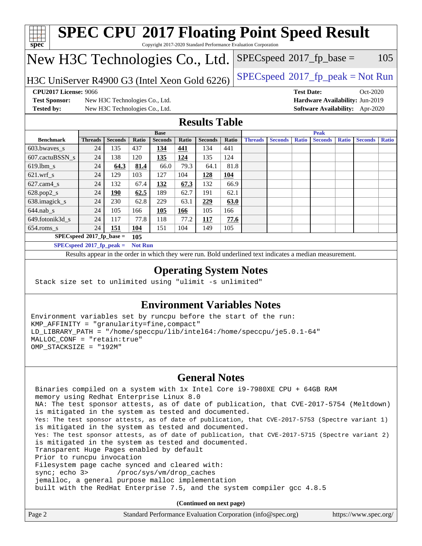| <b>SPEC CPU®2017 Floating Point Speed Result</b><br>spec <sup>®</sup><br>Copyright 2017-2020 Standard Performance Evaluation Corporation |                             |                                |                |                |       |                |       |                |                |                   |                |              |                                        |              |
|------------------------------------------------------------------------------------------------------------------------------------------|-----------------------------|--------------------------------|----------------|----------------|-------|----------------|-------|----------------|----------------|-------------------|----------------|--------------|----------------------------------------|--------------|
| New H3C Technologies Co., Ltd.<br>$SPEC speed^{\circ}2017\_fp\_base =$<br>105                                                            |                             |                                |                |                |       |                |       |                |                |                   |                |              |                                        |              |
| $SPEC speed^{\circ}2017\_fp\_peak = Not Run$<br>H3C UniServer R4900 G3 (Intel Xeon Gold 6226)                                            |                             |                                |                |                |       |                |       |                |                |                   |                |              |                                        |              |
| <b>CPU2017 License: 9066</b>                                                                                                             |                             |                                |                |                |       |                |       |                |                | <b>Test Date:</b> |                |              | $Oct-2020$                             |              |
| <b>Test Sponsor:</b>                                                                                                                     |                             | New H3C Technologies Co., Ltd. |                |                |       |                |       |                |                |                   |                |              | Hardware Availability: Jun-2019        |              |
| <b>Tested by:</b>                                                                                                                        |                             | New H3C Technologies Co., Ltd. |                |                |       |                |       |                |                |                   |                |              | <b>Software Availability:</b> Apr-2020 |              |
| <b>Results Table</b>                                                                                                                     |                             |                                |                |                |       |                |       |                |                |                   |                |              |                                        |              |
|                                                                                                                                          |                             |                                |                | <b>Base</b>    |       |                |       |                |                |                   | Peak           |              |                                        |              |
| <b>Benchmark</b>                                                                                                                         | <b>Threads</b>              | <b>Seconds</b>                 | Ratio          | <b>Seconds</b> | Ratio | <b>Seconds</b> | Ratio | <b>Threads</b> | <b>Seconds</b> | <b>Ratio</b>      | <b>Seconds</b> | <b>Ratio</b> | <b>Seconds</b>                         | <b>Ratio</b> |
| 603.bwayes s                                                                                                                             | 24                          | 135                            | 437            | 134            | 441   | 134            | 441   |                |                |                   |                |              |                                        |              |
| 607.cactuBSSN s                                                                                                                          | 24                          | 138                            | 120            | 135            | 124   | 135            | 124   |                |                |                   |                |              |                                        |              |
| 619.lbm s                                                                                                                                | 24                          | 64.3                           | 81.4           | 66.0           | 79.3  | 64.1           | 81.8  |                |                |                   |                |              |                                        |              |
| $621$ .wrf s                                                                                                                             | 24                          | 129                            | 103            | 127            | 104   | 128            | 104   |                |                |                   |                |              |                                        |              |
| 627.cam4_s                                                                                                                               | 24                          | 132                            | 67.4           | 132            | 67.3  | 132            | 66.9  |                |                |                   |                |              |                                        |              |
| 628.pop2_s                                                                                                                               | 24                          | 190                            | 62.5           | 189            | 62.7  | 191            | 62.1  |                |                |                   |                |              |                                        |              |
| 638.imagick_s                                                                                                                            | 24                          | 230                            | 62.8           | 229            | 63.1  | 229            | 63.0  |                |                |                   |                |              |                                        |              |
| $644$ .nab s                                                                                                                             | 24                          | 105                            | 166            | 105            | 166   | 105            | 166   |                |                |                   |                |              |                                        |              |
| 649.fotonik3d s                                                                                                                          | 24                          | 117                            | 77.8           | 118            | 77.2  | 117            | 77.6  |                |                |                   |                |              |                                        |              |
| 654.roms_s                                                                                                                               | 24                          | 151                            | 104            | 151            | 104   | 149            | 105   |                |                |                   |                |              |                                        |              |
|                                                                                                                                          | $SPECspeed*2017_fp\_base =$ |                                | 105            |                |       |                |       |                |                |                   |                |              |                                        |              |
|                                                                                                                                          | $SPECspeed*2017_fn\_peak =$ |                                | <b>Not Run</b> |                |       |                |       |                |                |                   |                |              |                                        |              |
| Results appear in the order in which they were run. Bold underlined text indicates a median measurement.                                 |                             |                                |                |                |       |                |       |                |                |                   |                |              |                                        |              |
| <b>Operating System Notes</b><br>Stack size set to unlimited using "ulimit -s unlimited"                                                 |                             |                                |                |                |       |                |       |                |                |                   |                |              |                                        |              |

### **[Environment Variables Notes](http://www.spec.org/auto/cpu2017/Docs/result-fields.html#EnvironmentVariablesNotes)**

Environment variables set by runcpu before the start of the run: KMP\_AFFINITY = "granularity=fine,compact" LD\_LIBRARY\_PATH = "/home/speccpu/lib/intel64:/home/speccpu/je5.0.1-64" MALLOC\_CONF = "retain:true" OMP\_STACKSIZE = "192M"

### **[General Notes](http://www.spec.org/auto/cpu2017/Docs/result-fields.html#GeneralNotes)**

 Binaries compiled on a system with 1x Intel Core i9-7980XE CPU + 64GB RAM memory using Redhat Enterprise Linux 8.0 NA: The test sponsor attests, as of date of publication, that CVE-2017-5754 (Meltdown) is mitigated in the system as tested and documented. Yes: The test sponsor attests, as of date of publication, that CVE-2017-5753 (Spectre variant 1) is mitigated in the system as tested and documented. Yes: The test sponsor attests, as of date of publication, that CVE-2017-5715 (Spectre variant 2) is mitigated in the system as tested and documented. Transparent Huge Pages enabled by default Prior to runcpu invocation Filesystem page cache synced and cleared with: sync; echo 3> /proc/sys/vm/drop\_caches jemalloc, a general purpose malloc implementation built with the RedHat Enterprise 7.5, and the system compiler gcc 4.8.5

**(Continued on next page)**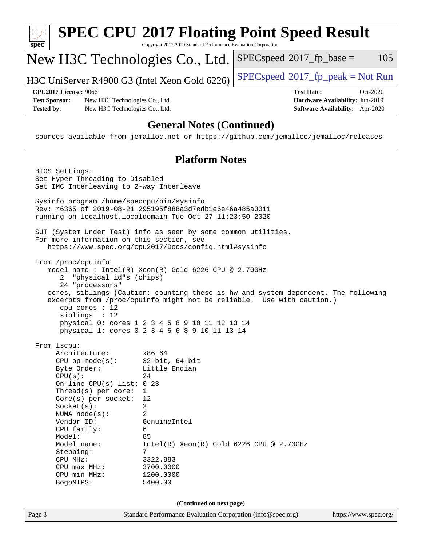| $spec^*$                                                                                                                                                                                                                                                                                                                | <b>SPEC CPU®2017 Floating Point Speed Result</b><br>Copyright 2017-2020 Standard Performance Evaluation Corporation                                                                                                                                                                                                     |                                              |                                                                                |  |  |
|-------------------------------------------------------------------------------------------------------------------------------------------------------------------------------------------------------------------------------------------------------------------------------------------------------------------------|-------------------------------------------------------------------------------------------------------------------------------------------------------------------------------------------------------------------------------------------------------------------------------------------------------------------------|----------------------------------------------|--------------------------------------------------------------------------------|--|--|
| New H3C Technologies Co., Ltd.                                                                                                                                                                                                                                                                                          |                                                                                                                                                                                                                                                                                                                         | $SPEC speed^{\circ}2017$ fp base =           | 105                                                                            |  |  |
| H3C UniServer R4900 G3 (Intel Xeon Gold 6226)                                                                                                                                                                                                                                                                           |                                                                                                                                                                                                                                                                                                                         | $SPEC speed^{\circ}2017\_fp\_peak = Not Run$ |                                                                                |  |  |
| <b>CPU2017 License: 9066</b><br><b>Test Sponsor:</b><br>New H3C Technologies Co., Ltd.<br><b>Tested by:</b><br>New H3C Technologies Co., Ltd.                                                                                                                                                                           |                                                                                                                                                                                                                                                                                                                         | <b>Test Date:</b>                            | Oct-2020<br>Hardware Availability: Jun-2019<br>Software Availability: Apr-2020 |  |  |
| sources available from jemalloc.net or https://github.com/jemalloc/jemalloc/releases                                                                                                                                                                                                                                    | <b>General Notes (Continued)</b>                                                                                                                                                                                                                                                                                        |                                              |                                                                                |  |  |
|                                                                                                                                                                                                                                                                                                                         | <b>Platform Notes</b>                                                                                                                                                                                                                                                                                                   |                                              |                                                                                |  |  |
| BIOS Settings:<br>Set Hyper Threading to Disabled<br>Set IMC Interleaving to 2-way Interleave                                                                                                                                                                                                                           |                                                                                                                                                                                                                                                                                                                         |                                              |                                                                                |  |  |
| Sysinfo program /home/speccpu/bin/sysinfo<br>Rev: r6365 of 2019-08-21 295195f888a3d7edble6e46a485a0011<br>running on localhost.localdomain Tue Oct 27 11:23:50 2020                                                                                                                                                     |                                                                                                                                                                                                                                                                                                                         |                                              |                                                                                |  |  |
| SUT (System Under Test) info as seen by some common utilities.<br>For more information on this section, see<br>https://www.spec.org/cpu2017/Docs/config.html#sysinfo                                                                                                                                                    |                                                                                                                                                                                                                                                                                                                         |                                              |                                                                                |  |  |
| From /proc/cpuinfo<br>"physical id"s (chips)<br>2<br>24 "processors"<br>cpu cores : 12<br>siblings : 12                                                                                                                                                                                                                 | model name : Intel(R) Xeon(R) Gold 6226 CPU @ 2.70GHz<br>cores, siblings (Caution: counting these is hw and system dependent. The following<br>excerpts from /proc/cpuinfo might not be reliable. Use with caution.)<br>physical 0: cores 1 2 3 4 5 8 9 10 11 12 13 14<br>physical 1: cores 0 2 3 4 5 6 8 9 10 11 13 14 |                                              |                                                                                |  |  |
| From 1scpu:<br>Architecture:<br>$CPU$ op-mode( $s$ ):<br>Byte Order:<br>CPU(s):<br>On-line CPU(s) list: $0-23$<br>Thread(s) per core:<br>Core(s) per socket:<br>Socket(s):<br>NUMA node(s):<br>Vendor ID:<br>CPU family:<br>Model:<br>Model name:<br>Stepping:<br>CPU MHz:<br>CPU max MHz:<br>CPU min MHz:<br>BogoMIPS: | x86_64<br>$32$ -bit, $64$ -bit<br>Little Endian<br>24<br>$\mathbf{1}$<br>12<br>$\overline{a}$<br>2<br>GenuineIntel<br>6<br>85<br>$Intel(R)$ Xeon $(R)$ Gold 6226 CPU @ 2.70GHz<br>7<br>3322.883<br>3700.0000<br>1200.0000<br>5400.00                                                                                    |                                              |                                                                                |  |  |
|                                                                                                                                                                                                                                                                                                                         | (Continued on next page)                                                                                                                                                                                                                                                                                                |                                              |                                                                                |  |  |
| Page 3                                                                                                                                                                                                                                                                                                                  | Standard Performance Evaluation Corporation (info@spec.org)                                                                                                                                                                                                                                                             |                                              | https://www.spec.org/                                                          |  |  |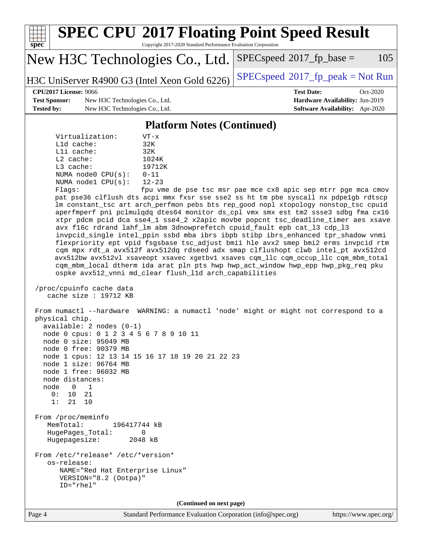

Page 4 Standard Performance Evaluation Corporation [\(info@spec.org\)](mailto:info@spec.org) <https://www.spec.org/>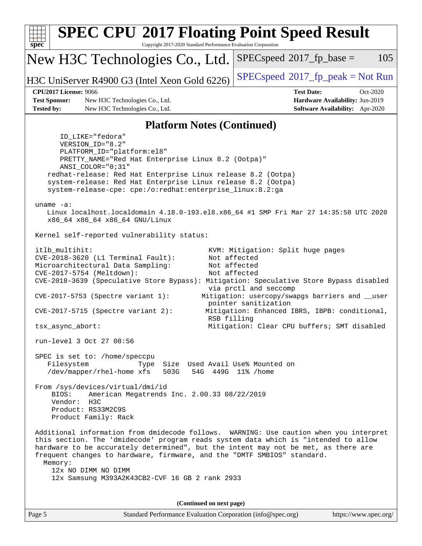| spec <sup>®</sup>                                                                                                                                                                                                          | Copyright 2017-2020 Standard Performance Evaluation Corporation                                                                                                                                                                                 | <b>SPEC CPU®2017 Floating Point Speed Result</b>                                                                                                                                                                                                                                                                                                                                                |                                                                    |
|----------------------------------------------------------------------------------------------------------------------------------------------------------------------------------------------------------------------------|-------------------------------------------------------------------------------------------------------------------------------------------------------------------------------------------------------------------------------------------------|-------------------------------------------------------------------------------------------------------------------------------------------------------------------------------------------------------------------------------------------------------------------------------------------------------------------------------------------------------------------------------------------------|--------------------------------------------------------------------|
|                                                                                                                                                                                                                            | New H3C Technologies Co., Ltd.                                                                                                                                                                                                                  | $SPEC speed^{\circ}2017$ fp base =                                                                                                                                                                                                                                                                                                                                                              | 105                                                                |
|                                                                                                                                                                                                                            | H3C UniServer R4900 G3 (Intel Xeon Gold 6226)                                                                                                                                                                                                   | $SPEC speed^{\circ}2017\_fp\_peak = Not Run$                                                                                                                                                                                                                                                                                                                                                    |                                                                    |
| <b>CPU2017 License: 9066</b>                                                                                                                                                                                               |                                                                                                                                                                                                                                                 | <b>Test Date:</b>                                                                                                                                                                                                                                                                                                                                                                               | Oct-2020                                                           |
| <b>Test Sponsor:</b><br><b>Tested by:</b>                                                                                                                                                                                  | New H3C Technologies Co., Ltd.<br>New H3C Technologies Co., Ltd.                                                                                                                                                                                |                                                                                                                                                                                                                                                                                                                                                                                                 | Hardware Availability: Jun-2019<br>Software Availability: Apr-2020 |
|                                                                                                                                                                                                                            | <b>Platform Notes (Continued)</b>                                                                                                                                                                                                               |                                                                                                                                                                                                                                                                                                                                                                                                 |                                                                    |
| ID_LIKE="fedora"<br>VERSION_ID="8.2"<br>PLATFORM_ID="platform:el8"<br>ANSI_COLOR="0;31"                                                                                                                                    | PRETTY_NAME="Red Hat Enterprise Linux 8.2 (Ootpa)"<br>redhat-release: Red Hat Enterprise Linux release 8.2 (Ootpa)<br>system-release: Red Hat Enterprise Linux release 8.2 (Ootpa)<br>system-release-cpe: cpe:/o:redhat:enterprise_linux:8.2:ga |                                                                                                                                                                                                                                                                                                                                                                                                 |                                                                    |
| uname $-a$ :<br>x86_64 x86_64 x86_64 GNU/Linux                                                                                                                                                                             |                                                                                                                                                                                                                                                 | Linux localhost.localdomain 4.18.0-193.el8.x86_64 #1 SMP Fri Mar 27 14:35:58 UTC 2020                                                                                                                                                                                                                                                                                                           |                                                                    |
| Kernel self-reported vulnerability status:                                                                                                                                                                                 |                                                                                                                                                                                                                                                 |                                                                                                                                                                                                                                                                                                                                                                                                 |                                                                    |
| itlb_multihit:<br>CVE-2018-3620 (L1 Terminal Fault):<br>Microarchitectural Data Sampling:<br>CVE-2017-5754 (Meltdown):<br>$CVE-2017-5753$ (Spectre variant 1):<br>$CVE-2017-5715$ (Spectre variant 2):<br>tsx_async_abort: |                                                                                                                                                                                                                                                 | KVM: Mitigation: Split huge pages<br>Not affected<br>Not affected<br>Not affected<br>CVE-2018-3639 (Speculative Store Bypass): Mitigation: Speculative Store Bypass disabled<br>via prctl and seccomp<br>Mitigation: usercopy/swapgs barriers and __user<br>pointer sanitization<br>Mitigation: Enhanced IBRS, IBPB: conditional,<br>RSB filling<br>Mitigation: Clear CPU buffers; SMT disabled |                                                                    |
| run-level 3 Oct 27 08:56                                                                                                                                                                                                   |                                                                                                                                                                                                                                                 |                                                                                                                                                                                                                                                                                                                                                                                                 |                                                                    |
| SPEC is set to: /home/speccpu<br>Filesystem<br>/dev/mapper/rhel-home xfs<br>From /sys/devices/virtual/dmi/id<br>BIOS:<br>Vendor:<br>H3C<br>Product: RS33M2C9S<br>Product Family: Rack                                      | Type<br>503G<br>American Megatrends Inc. 2.00.33 08/22/2019                                                                                                                                                                                     | Size Used Avail Use% Mounted on<br>54G 449G 11% / home                                                                                                                                                                                                                                                                                                                                          |                                                                    |
| Memory:<br>12x NO DIMM NO DIMM                                                                                                                                                                                             | 12x Samsung M393A2K43CB2-CVF 16 GB 2 rank 2933                                                                                                                                                                                                  | Additional information from dmidecode follows. WARNING: Use caution when you interpret<br>this section. The 'dmidecode' program reads system data which is "intended to allow<br>hardware to be accurately determined", but the intent may not be met, as there are<br>frequent changes to hardware, firmware, and the "DMTF SMBIOS" standard.                                                  |                                                                    |
|                                                                                                                                                                                                                            | (Continued on next page)                                                                                                                                                                                                                        |                                                                                                                                                                                                                                                                                                                                                                                                 |                                                                    |
| Page 5                                                                                                                                                                                                                     | Standard Performance Evaluation Corporation (info@spec.org)                                                                                                                                                                                     |                                                                                                                                                                                                                                                                                                                                                                                                 | https://www.spec.org/                                              |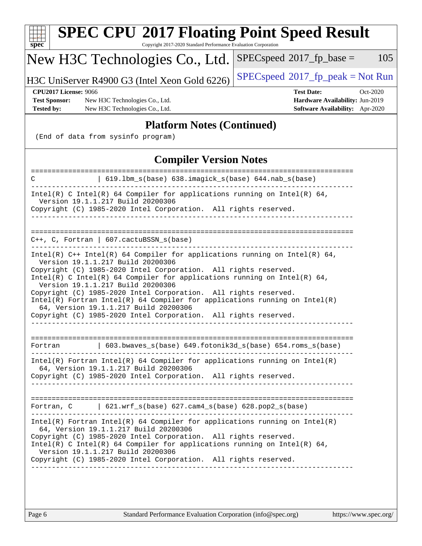| <b>SPEC CPU®2017 Floating Point Speed Result</b><br>spec <sup>®</sup><br>Copyright 2017-2020 Standard Performance Evaluation Corporation                                                                                                                                                                                                                                                                                                                                                                                                                             |                                                                                                     |
|----------------------------------------------------------------------------------------------------------------------------------------------------------------------------------------------------------------------------------------------------------------------------------------------------------------------------------------------------------------------------------------------------------------------------------------------------------------------------------------------------------------------------------------------------------------------|-----------------------------------------------------------------------------------------------------|
| New H3C Technologies Co., Ltd.                                                                                                                                                                                                                                                                                                                                                                                                                                                                                                                                       | 105<br>$SPEC speed^{\circ}2017$ fp base =                                                           |
| H3C UniServer R4900 G3 (Intel Xeon Gold 6226)                                                                                                                                                                                                                                                                                                                                                                                                                                                                                                                        | $SPEC speed^{\circ}2017\_fp\_peak = Not Run$                                                        |
| <b>CPU2017 License: 9066</b><br><b>Test Sponsor:</b><br>New H3C Technologies Co., Ltd.<br><b>Tested by:</b><br>New H3C Technologies Co., Ltd.                                                                                                                                                                                                                                                                                                                                                                                                                        | <b>Test Date:</b><br>Oct-2020<br>Hardware Availability: Jun-2019<br>Software Availability: Apr-2020 |
| <b>Platform Notes (Continued)</b><br>(End of data from sysinfo program)                                                                                                                                                                                                                                                                                                                                                                                                                                                                                              |                                                                                                     |
| <b>Compiler Version Notes</b>                                                                                                                                                                                                                                                                                                                                                                                                                                                                                                                                        |                                                                                                     |
| 619.1bm_s(base) 638.imagick_s(base) 644.nab_s(base)<br>C                                                                                                                                                                                                                                                                                                                                                                                                                                                                                                             | =====================                                                                               |
| Intel(R) C Intel(R) 64 Compiler for applications running on Intel(R) 64,<br>Version 19.1.1.217 Build 20200306<br>Copyright (C) 1985-2020 Intel Corporation. All rights reserved.<br>--------------                                                                                                                                                                                                                                                                                                                                                                   |                                                                                                     |
| $C++$ , C, Fortran   607.cactuBSSN_s(base)                                                                                                                                                                                                                                                                                                                                                                                                                                                                                                                           |                                                                                                     |
| Intel(R) $C++$ Intel(R) 64 Compiler for applications running on Intel(R) 64,<br>Version 19.1.1.217 Build 20200306<br>Copyright (C) 1985-2020 Intel Corporation. All rights reserved.<br>Intel(R) C Intel(R) 64 Compiler for applications running on Intel(R) 64,<br>Version 19.1.1.217 Build 20200306<br>Copyright (C) 1985-2020 Intel Corporation. All rights reserved.<br>$Intel(R)$ Fortran Intel(R) 64 Compiler for applications running on Intel(R)<br>64, Version 19.1.1.217 Build 20200306<br>Copyright (C) 1985-2020 Intel Corporation. All rights reserved. |                                                                                                     |
| 603.bwaves_s(base) 649.fotonik3d_s(base) 654.roms_s(base)<br>Fortran                                                                                                                                                                                                                                                                                                                                                                                                                                                                                                 |                                                                                                     |
| $Intel(R)$ Fortran Intel(R) 64 Compiler for applications running on Intel(R)<br>64, Version 19.1.1.217 Build 20200306<br>Copyright (C) 1985-2020 Intel Corporation. All rights reserved.                                                                                                                                                                                                                                                                                                                                                                             |                                                                                                     |
| Fortran, $C = \begin{bmatrix} 621.wrf\_s(base) & 627.cam4_s(base) & 628.pop2_s(base) \end{bmatrix}$                                                                                                                                                                                                                                                                                                                                                                                                                                                                  |                                                                                                     |
| $Intel(R)$ Fortran Intel(R) 64 Compiler for applications running on Intel(R)<br>64, Version 19.1.1.217 Build 20200306<br>Copyright (C) 1985-2020 Intel Corporation. All rights reserved.<br>Intel(R) C Intel(R) 64 Compiler for applications running on Intel(R) 64,<br>Version 19.1.1.217 Build 20200306<br>Copyright (C) 1985-2020 Intel Corporation. All rights reserved.<br>------------------                                                                                                                                                                   |                                                                                                     |
|                                                                                                                                                                                                                                                                                                                                                                                                                                                                                                                                                                      |                                                                                                     |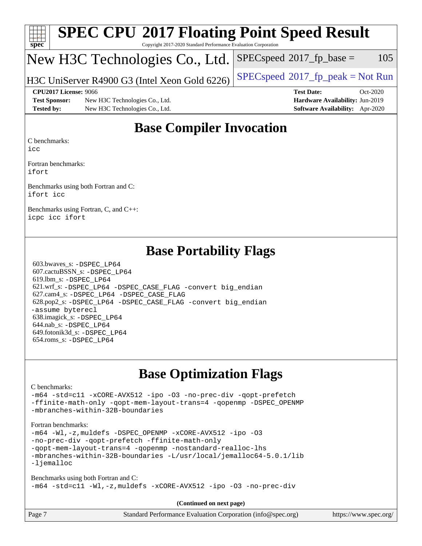| Spec                 | <b>SPEC CPU®2017 Floating Point Speed Result</b><br>Copyright 2017-2020 Standard Performance Evaluation Corporation |                                             |
|----------------------|---------------------------------------------------------------------------------------------------------------------|---------------------------------------------|
|                      | New H3C Technologies Co., Ltd.                                                                                      | $SPEC speed^{\circ}2017\_fp\_base =$<br>105 |
|                      | H3C UniServer R4900 G3 (Intel Xeon Gold 6226)                                                                       | $SPEC speed^{\circ}2017$ fp peak = Not Run  |
|                      | <b>CPU2017 License: 9066</b>                                                                                        | <b>Test Date:</b><br>$Oct-2020$             |
| <b>Test Sponsor:</b> | New H3C Technologies Co., Ltd.                                                                                      | Hardware Availability: Jun-2019             |
| <b>Tested by:</b>    | New H3C Technologies Co., Ltd.                                                                                      | Software Availability: Apr-2020             |

## **[Base Compiler Invocation](http://www.spec.org/auto/cpu2017/Docs/result-fields.html#BaseCompilerInvocation)**

[C benchmarks:](http://www.spec.org/auto/cpu2017/Docs/result-fields.html#Cbenchmarks)

[icc](http://www.spec.org/cpu2017/results/res2020q4/cpu2017-20201027-24326.flags.html#user_CCbase_intel_icc_66fc1ee009f7361af1fbd72ca7dcefbb700085f36577c54f309893dd4ec40d12360134090235512931783d35fd58c0460139e722d5067c5574d8eaf2b3e37e92)

[Fortran benchmarks:](http://www.spec.org/auto/cpu2017/Docs/result-fields.html#Fortranbenchmarks) [ifort](http://www.spec.org/cpu2017/results/res2020q4/cpu2017-20201027-24326.flags.html#user_FCbase_intel_ifort_8111460550e3ca792625aed983ce982f94888b8b503583aa7ba2b8303487b4d8a21a13e7191a45c5fd58ff318f48f9492884d4413fa793fd88dd292cad7027ca)

[Benchmarks using both Fortran and C:](http://www.spec.org/auto/cpu2017/Docs/result-fields.html#BenchmarksusingbothFortranandC) [ifort](http://www.spec.org/cpu2017/results/res2020q4/cpu2017-20201027-24326.flags.html#user_CC_FCbase_intel_ifort_8111460550e3ca792625aed983ce982f94888b8b503583aa7ba2b8303487b4d8a21a13e7191a45c5fd58ff318f48f9492884d4413fa793fd88dd292cad7027ca) [icc](http://www.spec.org/cpu2017/results/res2020q4/cpu2017-20201027-24326.flags.html#user_CC_FCbase_intel_icc_66fc1ee009f7361af1fbd72ca7dcefbb700085f36577c54f309893dd4ec40d12360134090235512931783d35fd58c0460139e722d5067c5574d8eaf2b3e37e92)

[Benchmarks using Fortran, C, and C++:](http://www.spec.org/auto/cpu2017/Docs/result-fields.html#BenchmarksusingFortranCandCXX) [icpc](http://www.spec.org/cpu2017/results/res2020q4/cpu2017-20201027-24326.flags.html#user_CC_CXX_FCbase_intel_icpc_c510b6838c7f56d33e37e94d029a35b4a7bccf4766a728ee175e80a419847e808290a9b78be685c44ab727ea267ec2f070ec5dc83b407c0218cded6866a35d07) [icc](http://www.spec.org/cpu2017/results/res2020q4/cpu2017-20201027-24326.flags.html#user_CC_CXX_FCbase_intel_icc_66fc1ee009f7361af1fbd72ca7dcefbb700085f36577c54f309893dd4ec40d12360134090235512931783d35fd58c0460139e722d5067c5574d8eaf2b3e37e92) [ifort](http://www.spec.org/cpu2017/results/res2020q4/cpu2017-20201027-24326.flags.html#user_CC_CXX_FCbase_intel_ifort_8111460550e3ca792625aed983ce982f94888b8b503583aa7ba2b8303487b4d8a21a13e7191a45c5fd58ff318f48f9492884d4413fa793fd88dd292cad7027ca)

## **[Base Portability Flags](http://www.spec.org/auto/cpu2017/Docs/result-fields.html#BasePortabilityFlags)**

 603.bwaves\_s: [-DSPEC\\_LP64](http://www.spec.org/cpu2017/results/res2020q4/cpu2017-20201027-24326.flags.html#suite_basePORTABILITY603_bwaves_s_DSPEC_LP64) 607.cactuBSSN\_s: [-DSPEC\\_LP64](http://www.spec.org/cpu2017/results/res2020q4/cpu2017-20201027-24326.flags.html#suite_basePORTABILITY607_cactuBSSN_s_DSPEC_LP64) 619.lbm\_s: [-DSPEC\\_LP64](http://www.spec.org/cpu2017/results/res2020q4/cpu2017-20201027-24326.flags.html#suite_basePORTABILITY619_lbm_s_DSPEC_LP64) 621.wrf\_s: [-DSPEC\\_LP64](http://www.spec.org/cpu2017/results/res2020q4/cpu2017-20201027-24326.flags.html#suite_basePORTABILITY621_wrf_s_DSPEC_LP64) [-DSPEC\\_CASE\\_FLAG](http://www.spec.org/cpu2017/results/res2020q4/cpu2017-20201027-24326.flags.html#b621.wrf_s_baseCPORTABILITY_DSPEC_CASE_FLAG) [-convert big\\_endian](http://www.spec.org/cpu2017/results/res2020q4/cpu2017-20201027-24326.flags.html#user_baseFPORTABILITY621_wrf_s_convert_big_endian_c3194028bc08c63ac5d04de18c48ce6d347e4e562e8892b8bdbdc0214820426deb8554edfa529a3fb25a586e65a3d812c835984020483e7e73212c4d31a38223) 627.cam4\_s: [-DSPEC\\_LP64](http://www.spec.org/cpu2017/results/res2020q4/cpu2017-20201027-24326.flags.html#suite_basePORTABILITY627_cam4_s_DSPEC_LP64) [-DSPEC\\_CASE\\_FLAG](http://www.spec.org/cpu2017/results/res2020q4/cpu2017-20201027-24326.flags.html#b627.cam4_s_baseCPORTABILITY_DSPEC_CASE_FLAG) 628.pop2\_s: [-DSPEC\\_LP64](http://www.spec.org/cpu2017/results/res2020q4/cpu2017-20201027-24326.flags.html#suite_basePORTABILITY628_pop2_s_DSPEC_LP64) [-DSPEC\\_CASE\\_FLAG](http://www.spec.org/cpu2017/results/res2020q4/cpu2017-20201027-24326.flags.html#b628.pop2_s_baseCPORTABILITY_DSPEC_CASE_FLAG) [-convert big\\_endian](http://www.spec.org/cpu2017/results/res2020q4/cpu2017-20201027-24326.flags.html#user_baseFPORTABILITY628_pop2_s_convert_big_endian_c3194028bc08c63ac5d04de18c48ce6d347e4e562e8892b8bdbdc0214820426deb8554edfa529a3fb25a586e65a3d812c835984020483e7e73212c4d31a38223) [-assume byterecl](http://www.spec.org/cpu2017/results/res2020q4/cpu2017-20201027-24326.flags.html#user_baseFPORTABILITY628_pop2_s_assume_byterecl_7e47d18b9513cf18525430bbf0f2177aa9bf368bc7a059c09b2c06a34b53bd3447c950d3f8d6c70e3faf3a05c8557d66a5798b567902e8849adc142926523472) 638.imagick\_s: [-DSPEC\\_LP64](http://www.spec.org/cpu2017/results/res2020q4/cpu2017-20201027-24326.flags.html#suite_basePORTABILITY638_imagick_s_DSPEC_LP64) 644.nab\_s: [-DSPEC\\_LP64](http://www.spec.org/cpu2017/results/res2020q4/cpu2017-20201027-24326.flags.html#suite_basePORTABILITY644_nab_s_DSPEC_LP64) 649.fotonik3d\_s: [-DSPEC\\_LP64](http://www.spec.org/cpu2017/results/res2020q4/cpu2017-20201027-24326.flags.html#suite_basePORTABILITY649_fotonik3d_s_DSPEC_LP64) 654.roms\_s: [-DSPEC\\_LP64](http://www.spec.org/cpu2017/results/res2020q4/cpu2017-20201027-24326.flags.html#suite_basePORTABILITY654_roms_s_DSPEC_LP64)

# **[Base Optimization Flags](http://www.spec.org/auto/cpu2017/Docs/result-fields.html#BaseOptimizationFlags)**

#### [C benchmarks](http://www.spec.org/auto/cpu2017/Docs/result-fields.html#Cbenchmarks):

[-m64](http://www.spec.org/cpu2017/results/res2020q4/cpu2017-20201027-24326.flags.html#user_CCbase_m64-icc) [-std=c11](http://www.spec.org/cpu2017/results/res2020q4/cpu2017-20201027-24326.flags.html#user_CCbase_std-icc-std_0e1c27790398a4642dfca32ffe6c27b5796f9c2d2676156f2e42c9c44eaad0c049b1cdb667a270c34d979996257aeb8fc440bfb01818dbc9357bd9d174cb8524) [-xCORE-AVX512](http://www.spec.org/cpu2017/results/res2020q4/cpu2017-20201027-24326.flags.html#user_CCbase_f-xCORE-AVX512) [-ipo](http://www.spec.org/cpu2017/results/res2020q4/cpu2017-20201027-24326.flags.html#user_CCbase_f-ipo) [-O3](http://www.spec.org/cpu2017/results/res2020q4/cpu2017-20201027-24326.flags.html#user_CCbase_f-O3) [-no-prec-div](http://www.spec.org/cpu2017/results/res2020q4/cpu2017-20201027-24326.flags.html#user_CCbase_f-no-prec-div) [-qopt-prefetch](http://www.spec.org/cpu2017/results/res2020q4/cpu2017-20201027-24326.flags.html#user_CCbase_f-qopt-prefetch) [-ffinite-math-only](http://www.spec.org/cpu2017/results/res2020q4/cpu2017-20201027-24326.flags.html#user_CCbase_f_finite_math_only_cb91587bd2077682c4b38af759c288ed7c732db004271a9512da14a4f8007909a5f1427ecbf1a0fb78ff2a814402c6114ac565ca162485bbcae155b5e4258871) [-qopt-mem-layout-trans=4](http://www.spec.org/cpu2017/results/res2020q4/cpu2017-20201027-24326.flags.html#user_CCbase_f-qopt-mem-layout-trans_fa39e755916c150a61361b7846f310bcdf6f04e385ef281cadf3647acec3f0ae266d1a1d22d972a7087a248fd4e6ca390a3634700869573d231a252c784941a8) [-qopenmp](http://www.spec.org/cpu2017/results/res2020q4/cpu2017-20201027-24326.flags.html#user_CCbase_qopenmp_16be0c44f24f464004c6784a7acb94aca937f053568ce72f94b139a11c7c168634a55f6653758ddd83bcf7b8463e8028bb0b48b77bcddc6b78d5d95bb1df2967) [-DSPEC\\_OPENMP](http://www.spec.org/cpu2017/results/res2020q4/cpu2017-20201027-24326.flags.html#suite_CCbase_DSPEC_OPENMP) [-mbranches-within-32B-boundaries](http://www.spec.org/cpu2017/results/res2020q4/cpu2017-20201027-24326.flags.html#user_CCbase_f-mbranches-within-32B-boundaries)

#### [Fortran benchmarks](http://www.spec.org/auto/cpu2017/Docs/result-fields.html#Fortranbenchmarks):

```
-m64 -Wl,-z,muldefs -DSPEC_OPENMP -xCORE-AVX512 -ipo -O3
-no-prec-div -qopt-prefetch -ffinite-math-only
-qopt-mem-layout-trans=4 -qopenmp -nostandard-realloc-lhs
-mbranches-within-32B-boundaries -L/usr/local/jemalloc64-5.0.1/lib
-ljemalloc
```
[Benchmarks using both Fortran and C](http://www.spec.org/auto/cpu2017/Docs/result-fields.html#BenchmarksusingbothFortranandC): [-m64](http://www.spec.org/cpu2017/results/res2020q4/cpu2017-20201027-24326.flags.html#user_CC_FCbase_m64-icc) [-std=c11](http://www.spec.org/cpu2017/results/res2020q4/cpu2017-20201027-24326.flags.html#user_CC_FCbase_std-icc-std_0e1c27790398a4642dfca32ffe6c27b5796f9c2d2676156f2e42c9c44eaad0c049b1cdb667a270c34d979996257aeb8fc440bfb01818dbc9357bd9d174cb8524) [-Wl,-z,muldefs](http://www.spec.org/cpu2017/results/res2020q4/cpu2017-20201027-24326.flags.html#user_CC_FCbase_link_force_multiple1_b4cbdb97b34bdee9ceefcfe54f4c8ea74255f0b02a4b23e853cdb0e18eb4525ac79b5a88067c842dd0ee6996c24547a27a4b99331201badda8798ef8a743f577) [-xCORE-AVX512](http://www.spec.org/cpu2017/results/res2020q4/cpu2017-20201027-24326.flags.html#user_CC_FCbase_f-xCORE-AVX512) [-ipo](http://www.spec.org/cpu2017/results/res2020q4/cpu2017-20201027-24326.flags.html#user_CC_FCbase_f-ipo) [-O3](http://www.spec.org/cpu2017/results/res2020q4/cpu2017-20201027-24326.flags.html#user_CC_FCbase_f-O3) [-no-prec-div](http://www.spec.org/cpu2017/results/res2020q4/cpu2017-20201027-24326.flags.html#user_CC_FCbase_f-no-prec-div)

**(Continued on next page)**

| Page 7 | Standard Performance Evaluation Corporation (info@spec.org) | https://www.spec.org/ |
|--------|-------------------------------------------------------------|-----------------------|
|        |                                                             |                       |